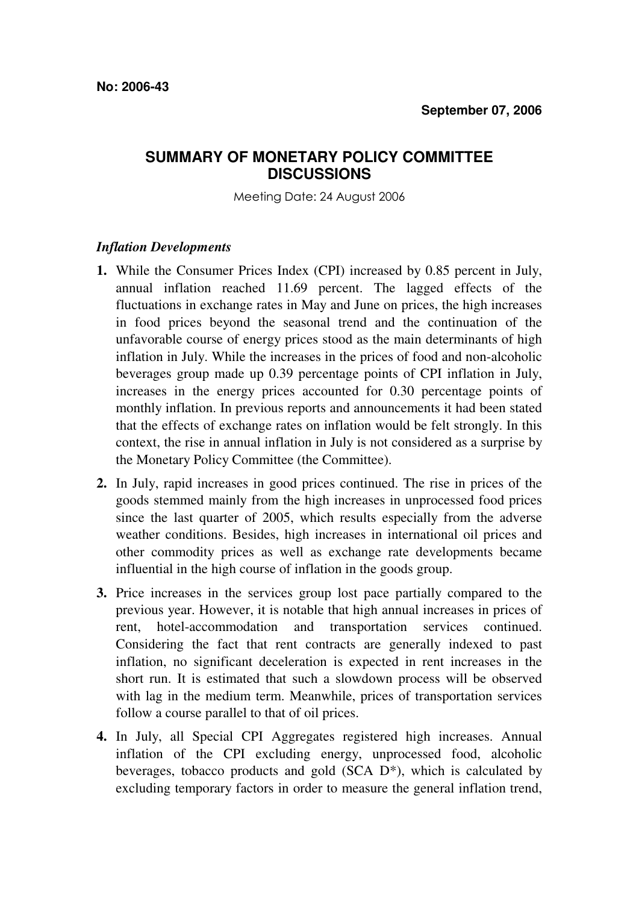## **SUMMARY OF MONETARY POLICY COMMITTEE DISCUSSIONS**

Meeting Date: 24 August 2006

## *Inflation Developments*

- **1.** While the Consumer Prices Index (CPI) increased by 0.85 percent in July, annual inflation reached 11.69 percent. The lagged effects of the fluctuations in exchange rates in May and June on prices, the high increases in food prices beyond the seasonal trend and the continuation of the unfavorable course of energy prices stood as the main determinants of high inflation in July. While the increases in the prices of food and non-alcoholic beverages group made up 0.39 percentage points of CPI inflation in July, increases in the energy prices accounted for 0.30 percentage points of monthly inflation. In previous reports and announcements it had been stated that the effects of exchange rates on inflation would be felt strongly. In this context, the rise in annual inflation in July is not considered as a surprise by the Monetary Policy Committee (the Committee).
- **2.** In July, rapid increases in good prices continued. The rise in prices of the goods stemmed mainly from the high increases in unprocessed food prices since the last quarter of 2005, which results especially from the adverse weather conditions. Besides, high increases in international oil prices and other commodity prices as well as exchange rate developments became influential in the high course of inflation in the goods group.
- **3.** Price increases in the services group lost pace partially compared to the previous year. However, it is notable that high annual increases in prices of rent, hotel-accommodation and transportation services continued. Considering the fact that rent contracts are generally indexed to past inflation, no significant deceleration is expected in rent increases in the short run. It is estimated that such a slowdown process will be observed with lag in the medium term. Meanwhile, prices of transportation services follow a course parallel to that of oil prices.
- **4.** In July, all Special CPI Aggregates registered high increases. Annual inflation of the CPI excluding energy, unprocessed food, alcoholic beverages, tobacco products and gold (SCA D\*), which is calculated by excluding temporary factors in order to measure the general inflation trend,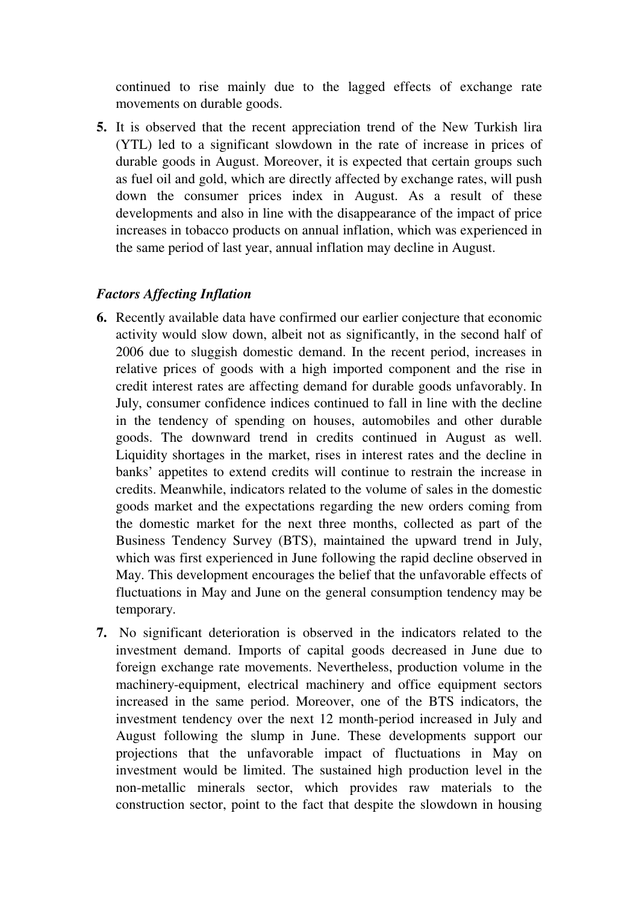continued to rise mainly due to the lagged effects of exchange rate movements on durable goods.

**5.** It is observed that the recent appreciation trend of the New Turkish lira (YTL) led to a significant slowdown in the rate of increase in prices of durable goods in August. Moreover, it is expected that certain groups such as fuel oil and gold, which are directly affected by exchange rates, will push down the consumer prices index in August. As a result of these developments and also in line with the disappearance of the impact of price increases in tobacco products on annual inflation, which was experienced in the same period of last year, annual inflation may decline in August.

## *Factors Affecting Inflation*

- **6.** Recently available data have confirmed our earlier conjecture that economic activity would slow down, albeit not as significantly, in the second half of 2006 due to sluggish domestic demand. In the recent period, increases in relative prices of goods with a high imported component and the rise in credit interest rates are affecting demand for durable goods unfavorably. In July, consumer confidence indices continued to fall in line with the decline in the tendency of spending on houses, automobiles and other durable goods. The downward trend in credits continued in August as well. Liquidity shortages in the market, rises in interest rates and the decline in banks' appetites to extend credits will continue to restrain the increase in credits. Meanwhile, indicators related to the volume of sales in the domestic goods market and the expectations regarding the new orders coming from the domestic market for the next three months, collected as part of the Business Tendency Survey (BTS), maintained the upward trend in July, which was first experienced in June following the rapid decline observed in May. This development encourages the belief that the unfavorable effects of fluctuations in May and June on the general consumption tendency may be temporary.
- **7.** No significant deterioration is observed in the indicators related to the investment demand. Imports of capital goods decreased in June due to foreign exchange rate movements. Nevertheless, production volume in the machinery-equipment, electrical machinery and office equipment sectors increased in the same period. Moreover, one of the BTS indicators, the investment tendency over the next 12 month-period increased in July and August following the slump in June. These developments support our projections that the unfavorable impact of fluctuations in May on investment would be limited. The sustained high production level in the non-metallic minerals sector, which provides raw materials to the construction sector, point to the fact that despite the slowdown in housing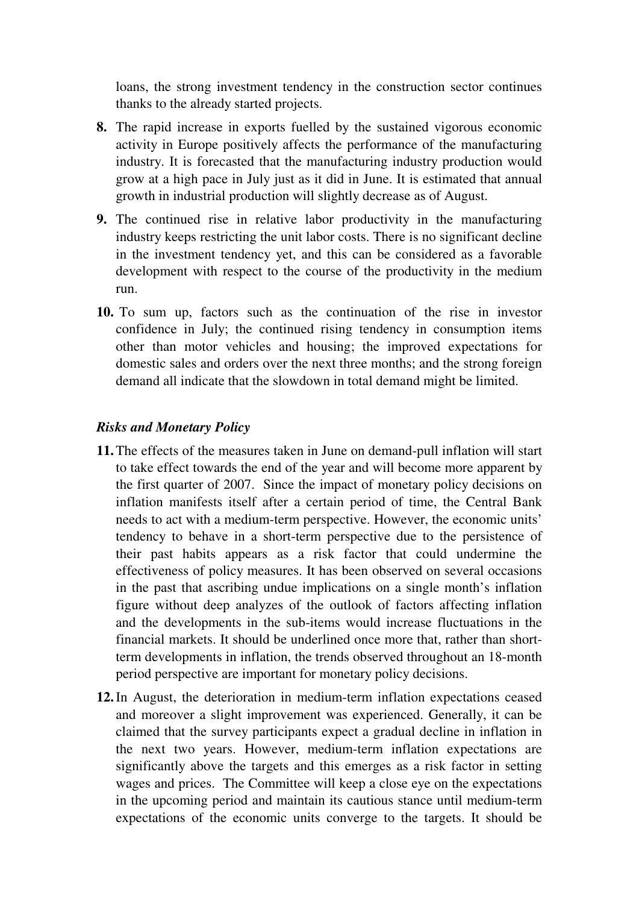loans, the strong investment tendency in the construction sector continues thanks to the already started projects.

- **8.** The rapid increase in exports fuelled by the sustained vigorous economic activity in Europe positively affects the performance of the manufacturing industry. It is forecasted that the manufacturing industry production would grow at a high pace in July just as it did in June. It is estimated that annual growth in industrial production will slightly decrease as of August.
- **9.** The continued rise in relative labor productivity in the manufacturing industry keeps restricting the unit labor costs. There is no significant decline in the investment tendency yet, and this can be considered as a favorable development with respect to the course of the productivity in the medium run.
- **10.** To sum up, factors such as the continuation of the rise in investor confidence in July; the continued rising tendency in consumption items other than motor vehicles and housing; the improved expectations for domestic sales and orders over the next three months; and the strong foreign demand all indicate that the slowdown in total demand might be limited.

## *Risks and Monetary Policy*

- **11.** The effects of the measures taken in June on demand-pull inflation will start to take effect towards the end of the year and will become more apparent by the first quarter of 2007. Since the impact of monetary policy decisions on inflation manifests itself after a certain period of time, the Central Bank needs to act with a medium-term perspective. However, the economic units' tendency to behave in a short-term perspective due to the persistence of their past habits appears as a risk factor that could undermine the effectiveness of policy measures. It has been observed on several occasions in the past that ascribing undue implications on a single month's inflation figure without deep analyzes of the outlook of factors affecting inflation and the developments in the sub-items would increase fluctuations in the financial markets. It should be underlined once more that, rather than shortterm developments in inflation, the trends observed throughout an 18-month period perspective are important for monetary policy decisions.
- **12.** In August, the deterioration in medium-term inflation expectations ceased and moreover a slight improvement was experienced. Generally, it can be claimed that the survey participants expect a gradual decline in inflation in the next two years. However, medium-term inflation expectations are significantly above the targets and this emerges as a risk factor in setting wages and prices. The Committee will keep a close eye on the expectations in the upcoming period and maintain its cautious stance until medium-term expectations of the economic units converge to the targets. It should be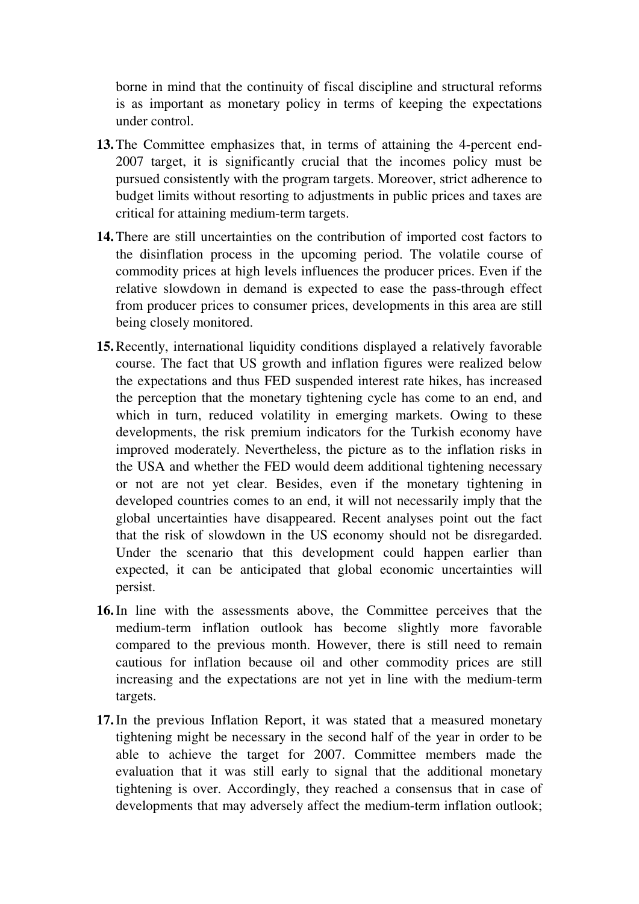borne in mind that the continuity of fiscal discipline and structural reforms is as important as monetary policy in terms of keeping the expectations under control.

- **13.** The Committee emphasizes that, in terms of attaining the 4-percent end-2007 target, it is significantly crucial that the incomes policy must be pursued consistently with the program targets. Moreover, strict adherence to budget limits without resorting to adjustments in public prices and taxes are critical for attaining medium-term targets.
- **14.** There are still uncertainties on the contribution of imported cost factors to the disinflation process in the upcoming period. The volatile course of commodity prices at high levels influences the producer prices. Even if the relative slowdown in demand is expected to ease the pass-through effect from producer prices to consumer prices, developments in this area are still being closely monitored.
- **15.** Recently, international liquidity conditions displayed a relatively favorable course. The fact that US growth and inflation figures were realized below the expectations and thus FED suspended interest rate hikes, has increased the perception that the monetary tightening cycle has come to an end, and which in turn, reduced volatility in emerging markets. Owing to these developments, the risk premium indicators for the Turkish economy have improved moderately. Nevertheless, the picture as to the inflation risks in the USA and whether the FED would deem additional tightening necessary or not are not yet clear. Besides, even if the monetary tightening in developed countries comes to an end, it will not necessarily imply that the global uncertainties have disappeared. Recent analyses point out the fact that the risk of slowdown in the US economy should not be disregarded. Under the scenario that this development could happen earlier than expected, it can be anticipated that global economic uncertainties will persist.
- **16.** In line with the assessments above, the Committee perceives that the medium-term inflation outlook has become slightly more favorable compared to the previous month. However, there is still need to remain cautious for inflation because oil and other commodity prices are still increasing and the expectations are not yet in line with the medium-term targets.
- **17.** In the previous Inflation Report, it was stated that a measured monetary tightening might be necessary in the second half of the year in order to be able to achieve the target for 2007. Committee members made the evaluation that it was still early to signal that the additional monetary tightening is over. Accordingly, they reached a consensus that in case of developments that may adversely affect the medium-term inflation outlook;